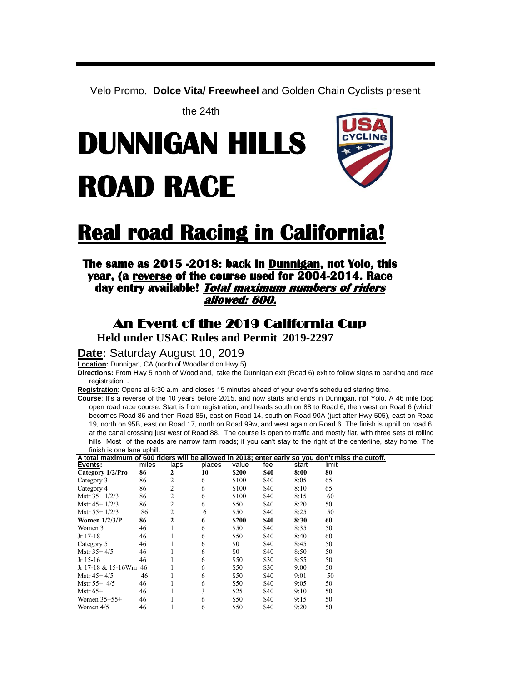Velo Promo, **Dolce Vita/ Freewheel** and Golden Chain Cyclists present

the 24th

# **DUNNIGAN HILLS ROAD RACE**



## **Real road Racing in California!**

## **The same as 2015 -2018: back In Dunnigan, not Yolo, this year, (a reverse of the course used for 2004-2014. Race day entry available! Total maximum numbers of riders allowed: 600.**

## An Event of the 2019 California Cup

**Held under USAC Rules and Permit 2019-2297**

**Date:** Saturday August 10, 2019

**Location:** Dunnigan, CA (north of Woodland on Hwy 5)

**Directions:** From Hwy 5 north of Woodland, take the Dunnigan exit (Road 6) exit to follow signs to parking and race registration. .

**Registration**: Opens at 6:30 a.m. and closes 15 minutes ahead of your event's scheduled staring time.

**Course**: It's a reverse of the 10 years before 2015, and now starts and ends in Dunnigan, not Yolo. A 46 mile loop open road race course. Start is from registration, and heads south on 88 to Road 6, then west on Road 6 (which becomes Road 86 and then Road 85), east on Road 14, south on Road 90A (just after Hwy 505), east on Road 19, north on 95B, east on Road 17, north on Road 99w, and west again on Road 6. The finish is uphill on road 6, at the canal crossing just west of Road 88. The course is open to traffic and mostly flat, with three sets of rolling hills Most of the roads are narrow farm roads; if you can't stay to the right of the centerline, stay home. The finish is one lane uphill

|    | laps                        | places |       | fee   | start |    |                                                                                                                            |
|----|-----------------------------|--------|-------|-------|-------|----|----------------------------------------------------------------------------------------------------------------------------|
| 86 | 2                           | 10     | \$200 | \$40  | 8:00  | 80 |                                                                                                                            |
| 86 | 2                           | 6      | \$100 | \$40  | 8:05  | 65 |                                                                                                                            |
| 86 | 2                           | 6      | \$100 | \$40  | 8:10  | 65 |                                                                                                                            |
| 86 | 2                           | 6      | \$100 | \$40  | 8:15  | 60 |                                                                                                                            |
| 86 | 2                           | 6      | \$50  | \$40  | 8:20  | 50 |                                                                                                                            |
| 86 | 2                           | 6      | \$50  | \$40  | 8:25  | 50 |                                                                                                                            |
| 86 | 2                           | 6      | \$200 | \$40  | 8:30  | 60 |                                                                                                                            |
| 46 |                             | 6      | \$50  | \$40  | 8:35  | 50 |                                                                                                                            |
| 46 |                             | 6      | \$50  | \$40  | 8:40  | 60 |                                                                                                                            |
| 46 |                             | 6      | \$0   | \$40  | 8:45  | 50 |                                                                                                                            |
| 46 |                             | 6      | \$0   | \$40  | 8:50  | 50 |                                                                                                                            |
| 46 |                             | 6      | \$50  | \$30  | 8:55  | 50 |                                                                                                                            |
| 46 |                             | 6      | \$50  | \$30  | 9:00  | 50 |                                                                                                                            |
| 46 |                             | 6      | \$50  | \$40  | 9:01  | 50 |                                                                                                                            |
| 46 |                             | 6      | \$50  | \$40  | 9:05  | 50 |                                                                                                                            |
| 46 |                             | 3      | \$25  | \$40  | 9:10  | 50 |                                                                                                                            |
| 46 |                             | 6      | \$50  | \$40  | 9:15  | 50 |                                                                                                                            |
| 46 |                             | 6      | \$50  | \$40  | 9:20  | 50 |                                                                                                                            |
|    | miles<br>Jr 17-18 & 15-16Wm |        |       | value |       |    | $\frac{1}{2}$<br>A total maximum of 600 riders will be allowed in 2018; enter early so you don't miss the cutoff.<br>limit |